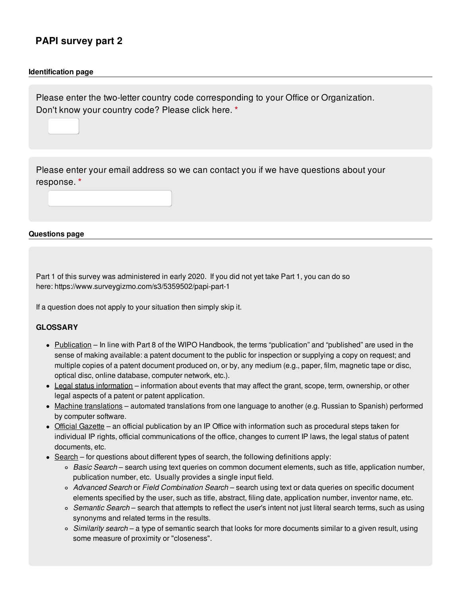# **PAPI survey part 2**

#### **Identification page**

Please enter the two-letter country code corresponding to your Office or Organization. Don't know your country code? Please click here. **\***

Please enter your email address so we can contact you if we have questions about your response. **\***

#### **Questions page**

Part 1 of this survey was administered in early 2020. If you did not yet take Part 1, you can do so here: https://www.surveygizmo.com/s3/5359502/papi-part-1

If a question does not apply to your situation then simply skip it.

#### **GLOSSARY**

- Publication In line with Part 8 of the WIPO Handbook, the terms "publication" and "published" are used in the sense of making available: a patent document to the public for inspection or supplying a copy on request; and multiple copies of a patent document produced on, or by, any medium (e.g., paper, film, magnetic tape or disc, optical disc, online database, computer network, etc.).
- Legal status information information about events that may affect the grant, scope, term, ownership, or other legal aspects of a patent or patent application.
- Machine translations automated translations from one language to another (e.g. Russian to Spanish) performed by computer software.
- Official Gazette an official publication by an IP Office with information such as procedural steps taken for individual IP rights, official communications of the office, changes to current IP laws, the legal status of patent documents, etc.
- $\bullet$  Search for questions about different types of search, the following definitions apply:
	- *Basic Search* search using text queries on common document elements, such as title, application number, publication number, etc. Usually provides a single input field.
	- *Advanced Search* or *Field Combination Search* search using text or data queries on specific document elements specified by the user, such as title, abstract, filing date, application number, inventor name, etc.
	- *Semantic Search* search that attempts to reflect the user's intent not just literal search terms, such as using synonyms and related terms in the results.
	- *Similarity search* a type of semantic search that looks for more documents similar to a given result, using some measure of proximity or "closeness".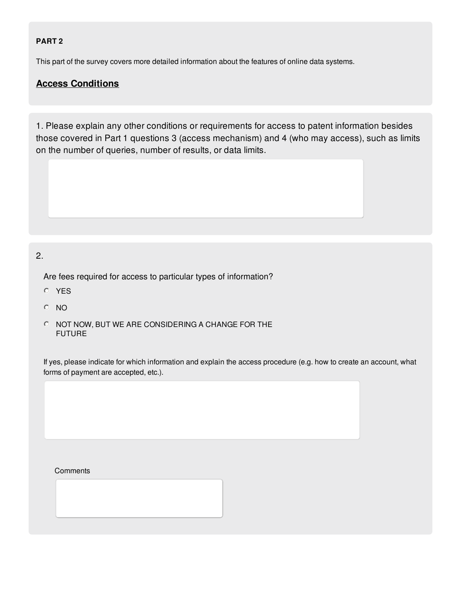### **PART 2**

This part of the survey covers more detailed information about the features of online data systems.

## **Access Conditions**

1. Please explain any other conditions or requirements for access to patent information besides those covered in Part 1 questions 3 (access mechanism) and 4 (who may access), such as limits on the number of queries, number of results, or data limits.

### 2.

Are fees required for access to particular types of information?

- YES
- NO
- NOT NOW, BUT WE ARE CONSIDERING A CHANGE FOR THE FUTURE

If yes, please indicate for which information and explain the access procedure (e.g. how to create an account, what forms of payment are accepted, etc.).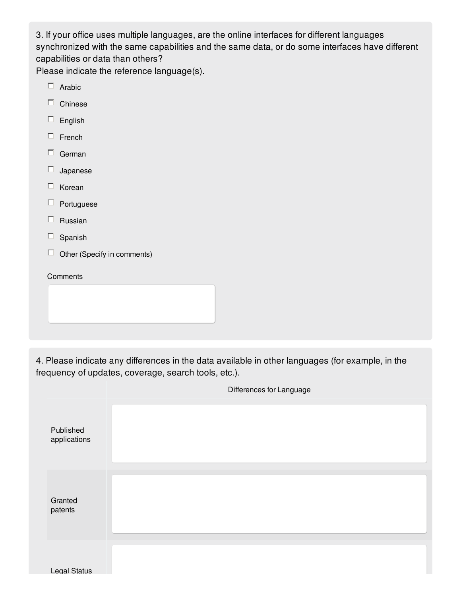3. If your office uses multiple languages, are the online interfaces for different languages synchronized with the same capabilities and the same data, or do some interfaces have different capabilities or data than others?

Please indicate the reference language(s).

- $\Box$  Arabic
- $\Box$  Chinese
- $\Box$  English
- $\Box$  French
- $\Box$  German
- $\square$  Japanese
- $\Box$  Korean
- $\Box$  Portuguese
- $\Box$  Russian
- $\square$  Spanish
- $\Box$  Other (Specify in comments)

## **Comments**

4. Please indicate any differences in the data available in other languages (for example, in the frequency of updates, coverage, search tools, etc.).

|                           | Differences for Language |
|---------------------------|--------------------------|
| Published<br>applications |                          |
| Granted<br>patents        |                          |
| Lenal Status              |                          |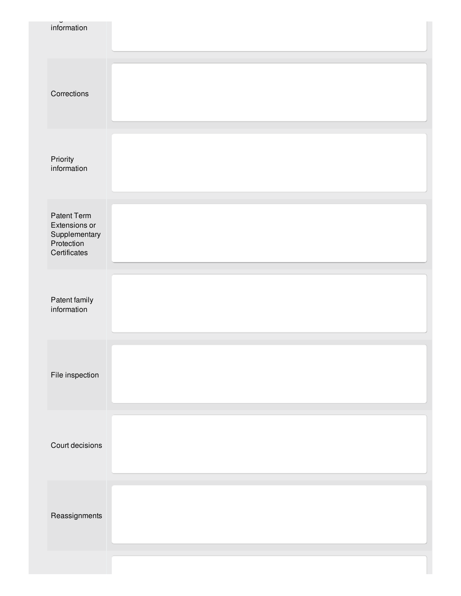| information                                                                 |  |
|-----------------------------------------------------------------------------|--|
| Corrections                                                                 |  |
| Priority<br>information                                                     |  |
| Patent Term<br>Extensions or<br>Supplementary<br>Protection<br>Certificates |  |
| Patent family<br>information                                                |  |
| File inspection                                                             |  |
| Court decisions                                                             |  |
| Reassignments                                                               |  |
|                                                                             |  |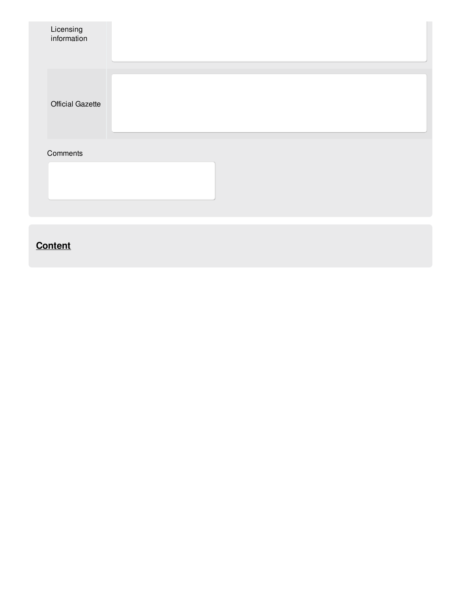

# **Content**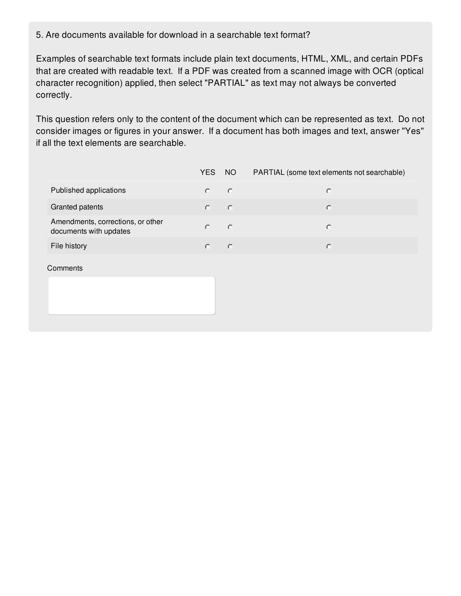5. Are documents available for download in a searchable text format?

Examples of searchable text formats include plain text documents, HTML, XML, and certain PDFs that are created with readable text. If a PDF was created from a scanned image with OCR (optical character recognition) applied, then select "PARTIAL" as text may not always be converted correctly.

This question refers only to the content of the document which can be represented as text. Do not consider images or figures in your answer. If a document has both images and text, answer "Yes" if all the text elements are searchable.

|                                                             | YES. | NO.                      | PARTIAL (some text elements not searchable) |
|-------------------------------------------------------------|------|--------------------------|---------------------------------------------|
| Published applications                                      |      | $\circ$                  | $\circ$                                     |
| Granted patents                                             |      | -C                       | $\circ$                                     |
| Amendments, corrections, or other<br>documents with updates |      | $\overline{\phantom{0}}$ | $\circ$                                     |
| File history                                                |      | $\circ$                  | O                                           |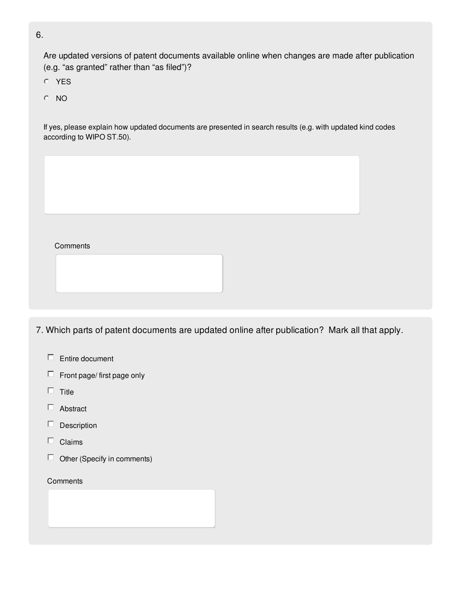6.

Are updated versions of patent documents available online when changes are made after publication (e.g. "as granted" rather than "as filed")?

- YES
- NO

If yes, please explain how updated documents are presented in search results (e.g. with updated kind codes according to WIPO ST.50).

### **Comments**

7. Which parts of patent documents are updated online after publication? Mark all that apply.

- $\Box$  Entire document
- $\Box$  Front page/ first page only
- $\Box$  Title
- Abstract
- $\Box$  Description
- $\Box$  Claims
- $\Box$  Other (Specify in comments)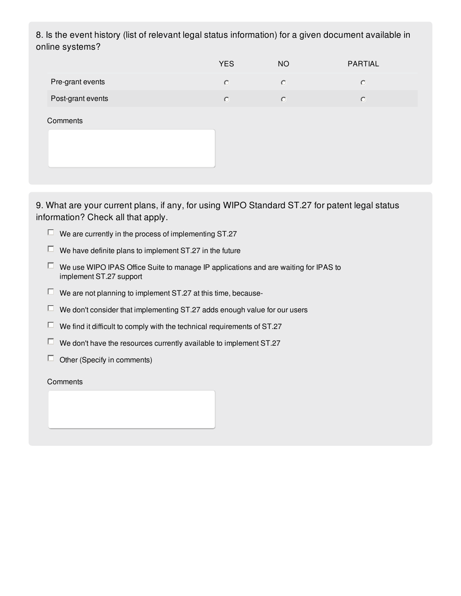8. Is the event history (list of relevant legal status information) for a given document available in online systems?

|                   | <b>YES</b> | <b>NO</b> | <b>PARTIAL</b> |
|-------------------|------------|-----------|----------------|
| Pre-grant events  | $\circ$    | $\circ$   | $\circ$        |
| Post-grant events | $\circ$    | $\circ$   | $\circ$        |
| Comments          |            |           |                |
|                   |            |           |                |
|                   |            |           |                |

9. What are your current plans, if any, for using WIPO Standard ST.27 for patent legal status information? Check all that apply.

- $\Box$  We are currently in the process of implementing ST.27
- $\square$  We have definite plans to implement ST.27 in the future
- $\Box$  We use WIPO IPAS Office Suite to manage IP applications and are waiting for IPAS to implement ST.27 support
- $\Box$  We are not planning to implement ST.27 at this time, because-
- $\Box$  We don't consider that implementing ST.27 adds enough value for our users
- $\square$  We find it difficult to comply with the technical requirements of ST.27
- $\Box$  We don't have the resources currently available to implement ST.27
- $\Box$  Other (Specify in comments)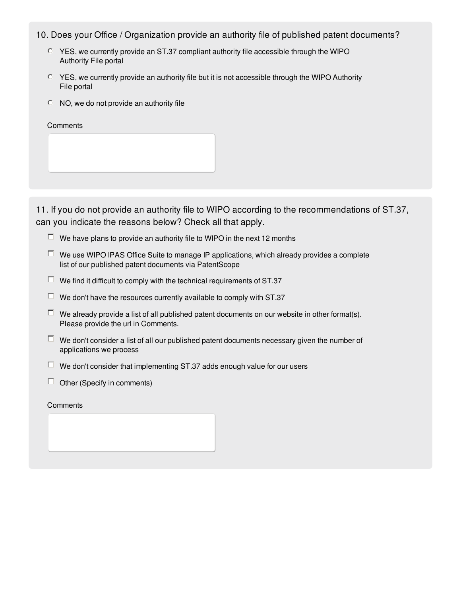## 10. Does your Office / Organization provide an authority file of published patent documents?

- YES, we currently provide an ST.37 compliant authority file accessible through the WIPO Authority File portal
- YES, we currently provide an authority file but it is not accessible through the WIPO Authority File portal
- NO, we do not provide an authority file

| Comments |  |  |  |
|----------|--|--|--|
|          |  |  |  |
|          |  |  |  |
|          |  |  |  |

11. If you do not provide an authority file to WIPO according to the recommendations of ST.37, can you indicate the reasons below? Check all that apply.

- $\Box$  We have plans to provide an authority file to WIPO in the next 12 months
- $\Box$  We use WIPO IPAS Office Suite to manage IP applications, which already provides a complete list of our published patent documents via PatentScope
- $\Box$  We find it difficult to comply with the technical requirements of ST.37
- $\Box$  We don't have the resources currently available to comply with ST.37
- $\Box$  We already provide a list of all published patent documents on our website in other format(s). Please provide the url in Comments.
- $\Box$  We don't consider a list of all our published patent documents necessary given the number of applications we process
- $\Box$  We don't consider that implementing ST.37 adds enough value for our users
- $\Box$  Other (Specify in comments)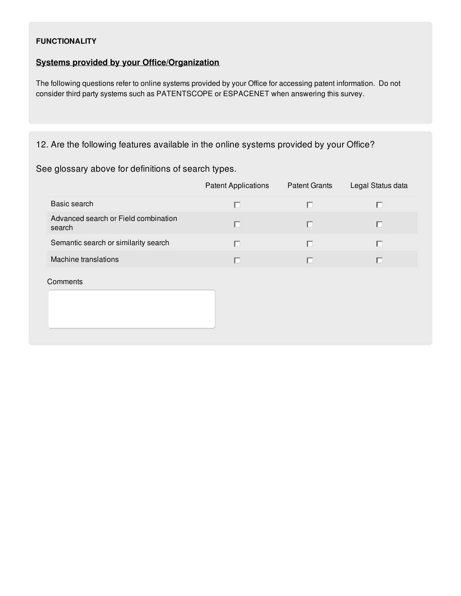### **FUNCTIONALITY**

# **Systems provided by your Office/Organization**

The following questions refer to online systems provided by your Office for accessing patent information. Do not consider third party systems such as PATENTSCOPE or ESPACENET when answering this survey.

# 12. Are the following features available in the online systems provided by your Office?

# See glossary above for definitions of search types.

|                                                | <b>Patent Applications</b> | <b>Patent Grants</b> | Legal Status data |
|------------------------------------------------|----------------------------|----------------------|-------------------|
| Basic search                                   | П                          | П                    | П                 |
| Advanced search or Field combination<br>search | □                          | П                    | $\Box$            |
| Semantic search or similarity search           | П                          | $\Box$               | П                 |
| Machine translations                           | □                          | $\Box$               | $\Box$            |
| Comments                                       |                            |                      |                   |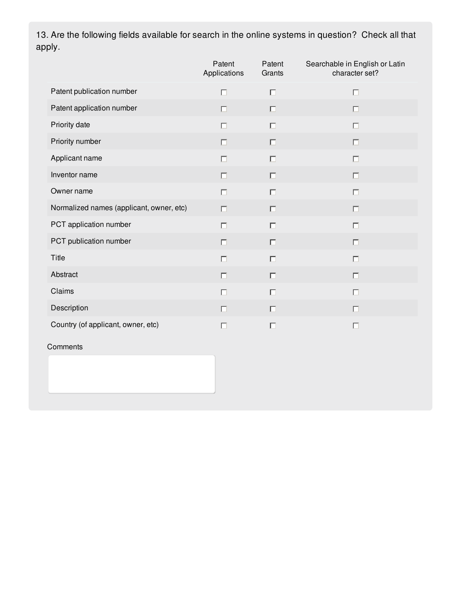13. Are the following fields available for search in the online systems in question? Check all that apply.

|                                          | Patent<br>Applications | Patent<br>Grants | Searchable in English or Latin<br>character set? |
|------------------------------------------|------------------------|------------------|--------------------------------------------------|
| Patent publication number                | П                      | $\Box$           | $\Box$                                           |
| Patent application number                | $\Box$                 | $\Box$           | $\Box$                                           |
| Priority date                            | ⊓                      | П                | $\Box$                                           |
| Priority number                          | $\Box$                 | $\Box$           | $\Box$                                           |
| Applicant name                           | г                      | п                | $\Box$                                           |
| Inventor name                            | $\Box$                 | $\Box$           | $\Box$                                           |
| Owner name                               | п                      | $\Box$           | $\Box$                                           |
| Normalized names (applicant, owner, etc) | $\Box$                 | $\Box$           | $\Box$                                           |
| PCT application number                   | П                      | П                | $\Box$                                           |
| PCT publication number                   | $\Box$                 | $\Box$           | $\Box$                                           |
| Title                                    | $\Box$                 | $\Box$           | $\Box$                                           |
| Abstract                                 | П                      | $\Box$           | $\Box$                                           |
| Claims                                   | $\Box$                 | П                | $\Box$                                           |
| Description                              | $\Box$                 | $\Box$           | $\Box$                                           |
| Country (of applicant, owner, etc)       | Г                      | 口                | $\Box$                                           |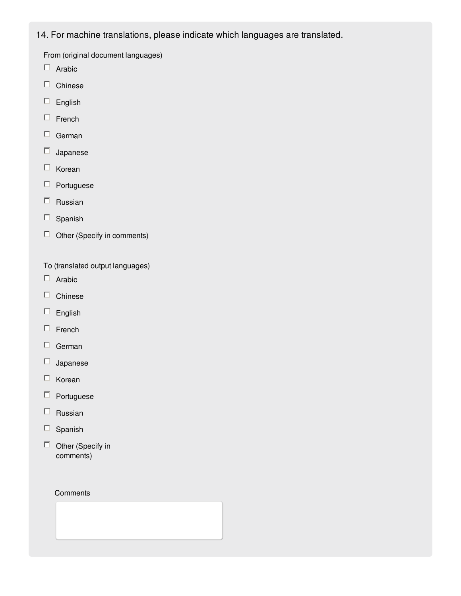14. For machine translations, please indicate which languages are translated.

From (original document languages)

- $\Box$  Arabic
- $\square$  Chinese
- $\square$  English
- $\square$  French
- German
- $\Box$  Japanese
- $\Box$  Korean
- $\Box$  Portuguese
- $\Box$  Russian
- $\square$  Spanish
- $\Box$  Other (Specify in comments)
- To (translated output languages)
- $\Box$  Arabic
- $\Box$  Chinese
- $\square$  English
- $\square$  French
- $\Box$  German
- $\Box$  Japanese
- $\Box$  Korean
- $\Box$  Portuguese
- $\Box$  Russian
- $\square$  Spanish
- $\Box$  Other (Specify in comments)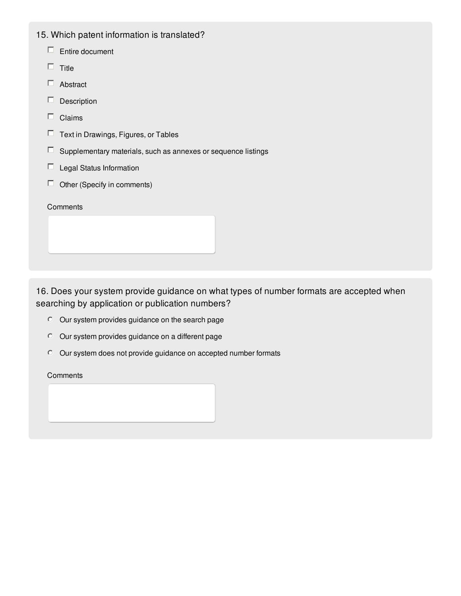# 15. Which patent information is translated?

- $\Box$  Entire document
- $\Box$  Title
- □ Abstract
- $\Box$  Description
- $\Box$  Claims
- $\Box$  Text in Drawings, Figures, or Tables
- $\square$  Supplementary materials, such as annexes or sequence listings
- $\Box$  Legal Status Information
- $\Box$  Other (Specify in comments)

#### **Comments**

16. Does your system provide guidance on what types of number formats are accepted when searching by application or publication numbers?

- Our system provides guidance on the search page
- Our system provides guidance on a different page
- Our system does not provide guidance on accepted number formats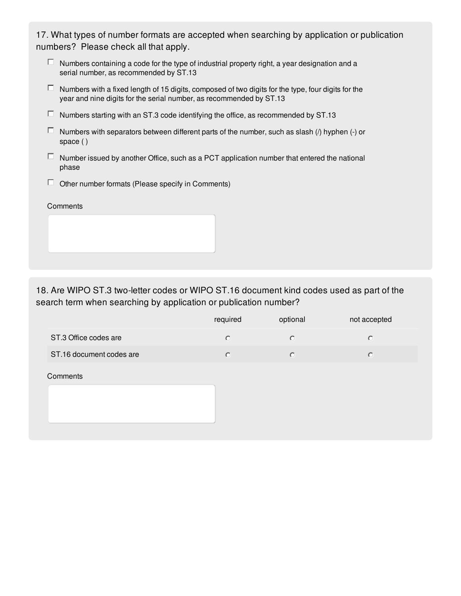17. What types of number formats are accepted when searching by application or publication numbers? Please check all that apply.

- $\Box$  Numbers containing a code for the type of industrial property right, a year designation and a serial number, as recommended by ST.13
- $\Box$  Numbers with a fixed length of 15 digits, composed of two digits for the type, four digits for the year and nine digits for the serial number, as recommended by ST.13
- $\square$  Numbers starting with an ST.3 code identifying the office, as recommended by ST.13
- $\Box$  Numbers with separators between different parts of the number, such as slash ( $\land$ ) hyphen (-) or space ( )
- $\Box$  Number issued by another Office, such as a PCT application number that entered the national phase
- $\Box$  Other number formats (Please specify in Comments)

#### **Comments**

18. Are WIPO ST.3 two-letter codes or WIPO ST.16 document kind codes used as part of the search term when searching by application or publication number?

|                          | required | optional | not accepted |
|--------------------------|----------|----------|--------------|
| ST.3 Office codes are    |          |          |              |
| ST.16 document codes are |          |          |              |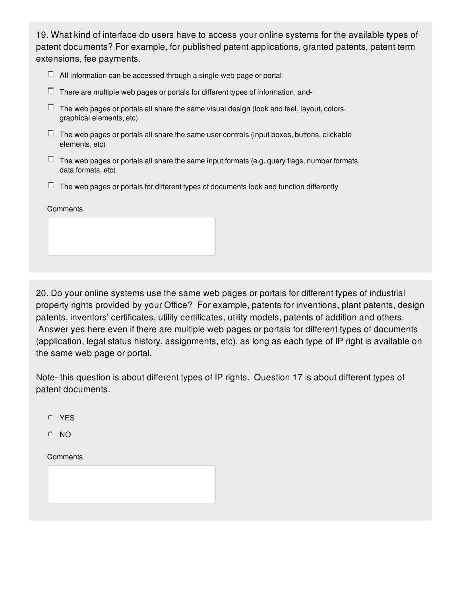19. What kind of interface do users have to access your online systems for the available types of patent documents? For example, for published patent applications, granted patents, patent term extensions, fee payments.

| $\Box$ All information can be accessed through a single web page or portal |  |  |
|----------------------------------------------------------------------------|--|--|
|                                                                            |  |  |

- $\Box$  There are multiple web pages or portals for different types of information, and-
- $\Box$  The web pages or portals all share the same visual design (look and feel, layout, colors, graphical elements, etc)
- $\Box$  The web pages or portals all share the same user controls (input boxes, buttons, clickable elements, etc)
- $\Box$  The web pages or portals all share the same input formats (e.g. query flags, number formats, data formats, etc)
- $\Box$  The web pages or portals for different types of documents look and function differently

| Comments |
|----------|
|----------|

20. Do your online systems use the same web pages or portals for different types of industrial property rights provided by your Office? For example, patents for inventions, plant patents, design patents, inventors' certificates, utility certificates, utility models, patents of addition and others. Answer yes here even if there are multiple web pages or portals for different types of documents (application, legal status history, assignments, etc), as long as each type of IP right is available on the same web page or portal.

Note- this question is about different types of IP rights. Question 17 is about different types of patent documents.

YES

NO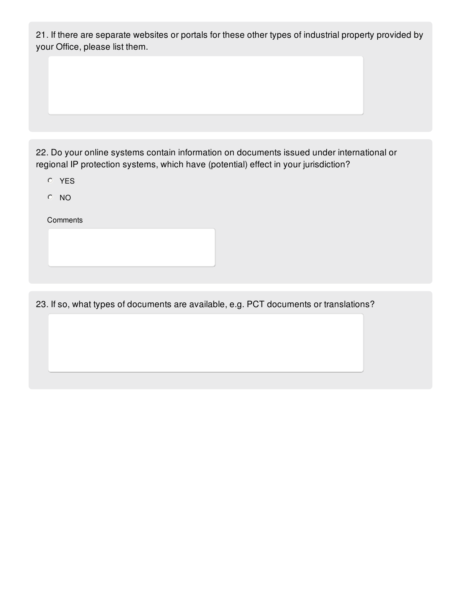21. If there are separate websites or portals for these other types of industrial property provided by your Office, please list them.

22. Do your online systems contain information on documents issued under international or regional IP protection systems, which have (potential) effect in your jurisdiction?

- YES
- NO

**Comments** 

23. If so, what types of documents are available, e.g. PCT documents or translations?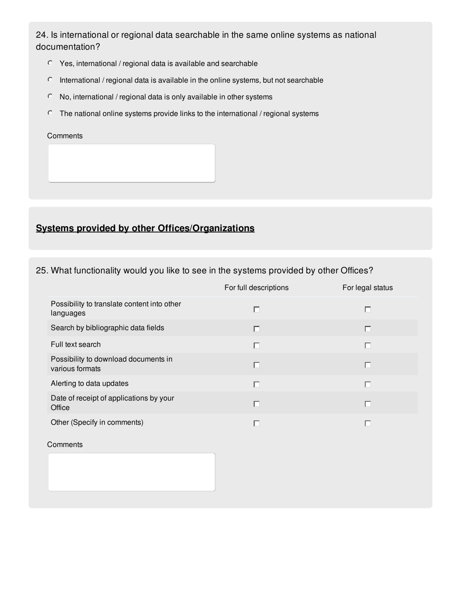# 24. Is international or regional data searchable in the same online systems as national documentation?

- Yes, international / regional data is available and searchable
- $\circ$  International / regional data is available in the online systems, but not searchable
- No, international / regional data is only available in other systems
- The national online systems provide links to the international / regional systems

#### **Comments**

# **Systems provided by other Offices/Organizations**

25. What functionality would you like to see in the systems provided by other Offices?

|                                                          | For full descriptions | For legal status |
|----------------------------------------------------------|-----------------------|------------------|
| Possibility to translate content into other<br>languages | П                     | г                |
| Search by bibliographic data fields                      | п                     | П                |
| Full text search                                         | п                     | П                |
| Possibility to download documents in<br>various formats  | П                     | П                |
| Alerting to data updates                                 | п                     | П                |
| Date of receipt of applications by your<br>Office        | П                     | П                |
| Other (Specify in comments)                              |                       |                  |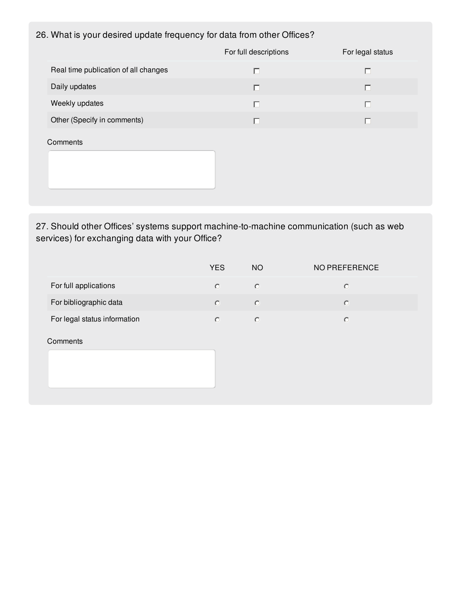# 26. What is your desired update frequency for data from other Offices?

|                                      | For full descriptions | For legal status |
|--------------------------------------|-----------------------|------------------|
| Real time publication of all changes | П                     | г                |
| Daily updates                        | $\Box$                | $\Box$           |
| Weekly updates                       | П                     | Г                |
| Other (Specify in comments)          | П                     | П                |
| Comments                             |                       |                  |

27. Should other Offices' systems support machine-to-machine communication (such as web services) for exchanging data with your Office?

|                              | <b>YES</b> | NO. | NO PREFERENCE |
|------------------------------|------------|-----|---------------|
| For full applications        |            |     |               |
| For bibliographic data       |            |     |               |
| For legal status information |            |     |               |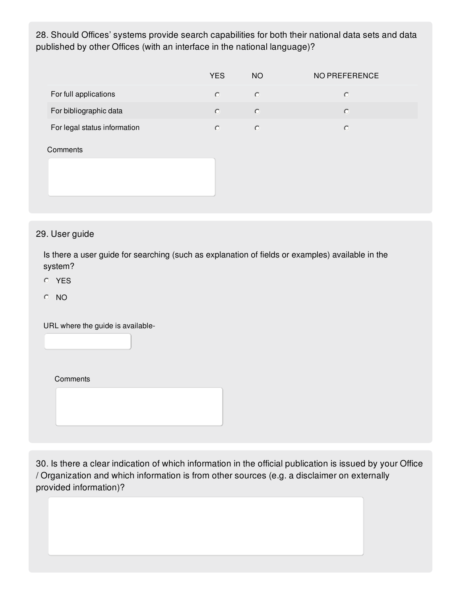28. Should Offices' systems provide search capabilities for both their national data sets and data published by other Offices (with an interface in the national language)?

|                              | <b>YES</b> | <b>NO</b> | NO PREFERENCE |
|------------------------------|------------|-----------|---------------|
| For full applications        | $\circ$    | $\circ$   | $\circ$       |
| For bibliographic data       | $\circ$    | $\circ$   | $\circ$       |
| For legal status information | $\circ$    | $\bullet$ | $\circ$       |
| Comments                     |            |           |               |

# 29. User guide

Is there a user guide for searching (such as explanation of fields or examples) available in the system?

- YES
- NO

URL where the guide is available-

**Comments** 

30. Is there a clear indication of which information in the official publication is issued by your Office / Organization and which information is from other sources (e.g. a disclaimer on externally provided information)?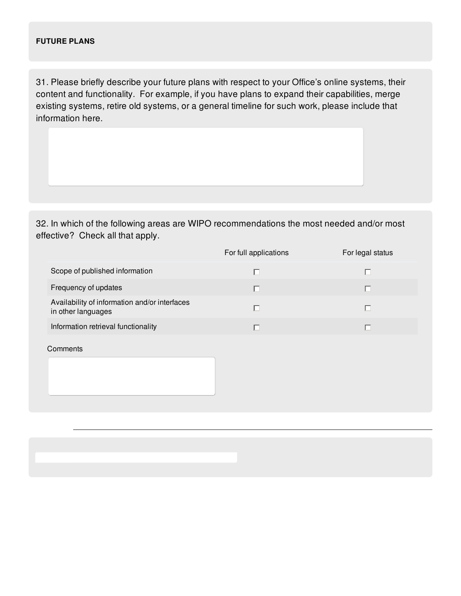### **FUTURE PLANS**

31. Please briefly describe your future plans with respect to your Office's online systems, their content and functionality. For example, if you have plans to expand their capabilities, merge existing systems, retire old systems, or a general timeline for such work, please include that information here.

32. In which of the following areas are WIPO recommendations the most needed and/or most effective? Check all that apply.

|                                                                     | For full applications | For legal status |
|---------------------------------------------------------------------|-----------------------|------------------|
| Scope of published information                                      | H                     |                  |
| Frequency of updates                                                | H                     |                  |
| Availability of information and/or interfaces<br>in other languages | п                     |                  |
| Information retrieval functionality                                 | ⊓                     |                  |
| Comments                                                            |                       |                  |